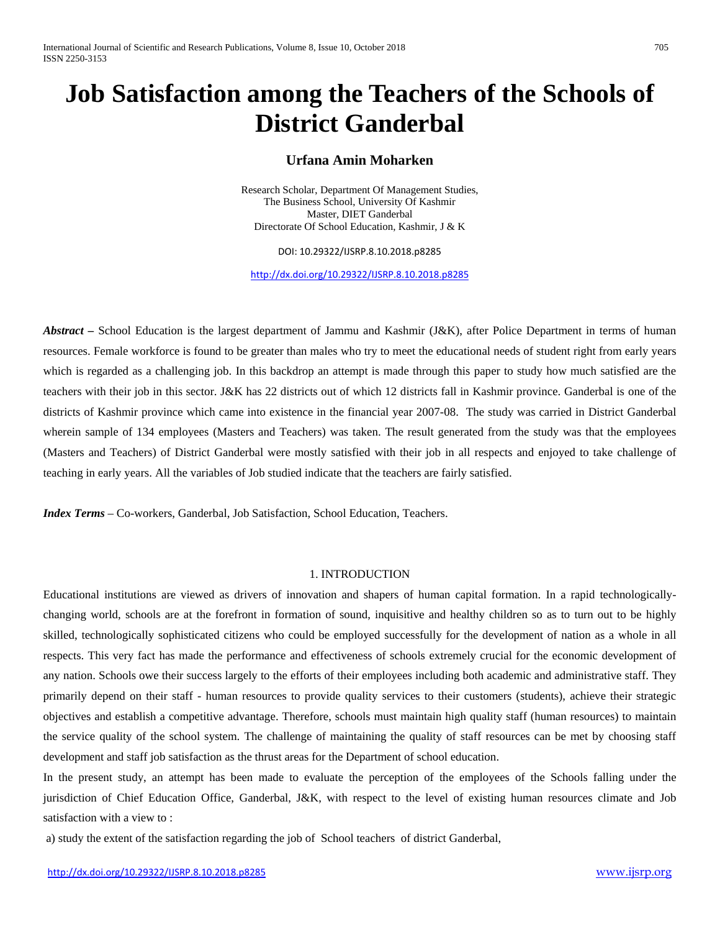# **Job Satisfaction among the Teachers of the Schools of District Ganderbal**

# **Urfana Amin Moharken**

Research Scholar, Department Of Management Studies, The Business School, University Of Kashmir Master, DIET Ganderbal Directorate Of School Education, Kashmir, J & K

DOI: 10.29322/IJSRP.8.10.2018.p8285

<http://dx.doi.org/10.29322/IJSRP.8.10.2018.p8285>

*Abstract –* School Education is the largest department of Jammu and Kashmir (J&K), after Police Department in terms of human resources. Female workforce is found to be greater than males who try to meet the educational needs of student right from early years which is regarded as a challenging job. In this backdrop an attempt is made through this paper to study how much satisfied are the teachers with their job in this sector. J&K has 22 districts out of which 12 districts fall in Kashmir province. Ganderbal is one of the districts of Kashmir province which came into existence in the financial year 2007-08. The study was carried in District Ganderbal wherein sample of 134 employees (Masters and Teachers) was taken. The result generated from the study was that the employees (Masters and Teachers) of District Ganderbal were mostly satisfied with their job in all respects and enjoyed to take challenge of teaching in early years. All the variables of Job studied indicate that the teachers are fairly satisfied.

*Index Terms* – Co-workers, Ganderbal, Job Satisfaction, School Education, Teachers.

### 1. INTRODUCTION

Educational institutions are viewed as drivers of innovation and shapers of human capital formation. In a rapid technologicallychanging world, schools are at the forefront in formation of sound, inquisitive and healthy children so as to turn out to be highly skilled, technologically sophisticated citizens who could be employed successfully for the development of nation as a whole in all respects. This very fact has made the performance and effectiveness of schools extremely crucial for the economic development of any nation. Schools owe their success largely to the efforts of their employees including both academic and administrative staff. They primarily depend on their staff - human resources to provide quality services to their customers (students), achieve their strategic objectives and establish a competitive advantage. Therefore, schools must maintain high quality staff (human resources) to maintain the service quality of the school system. The challenge of maintaining the quality of staff resources can be met by choosing staff development and staff job satisfaction as the thrust areas for the Department of school education.

In the present study, an attempt has been made to evaluate the perception of the employees of the Schools falling under the jurisdiction of Chief Education Office, Ganderbal, J&K, with respect to the level of existing human resources climate and Job satisfaction with a view to :

a) study the extent of the satisfaction regarding the job of School teachers of district Ganderbal,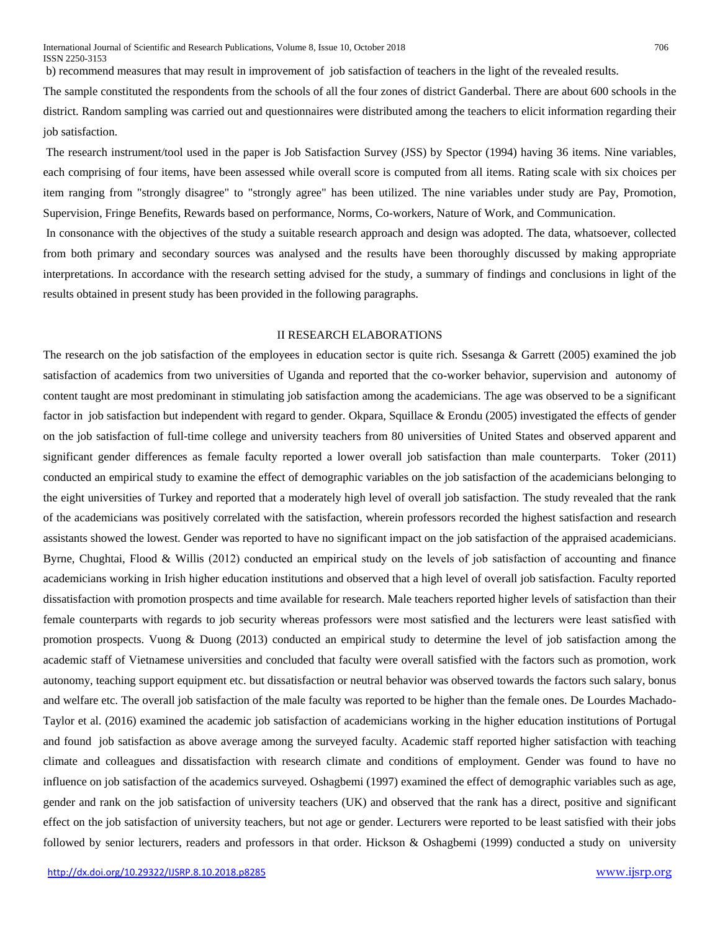b) recommend measures that may result in improvement of job satisfaction of teachers in the light of the revealed results.

The sample constituted the respondents from the schools of all the four zones of district Ganderbal. There are about 600 schools in the district. Random sampling was carried out and questionnaires were distributed among the teachers to elicit information regarding their job satisfaction.

The research instrument/tool used in the paper is Job Satisfaction Survey (JSS) by Spector (1994) having 36 items. Nine variables, each comprising of four items, have been assessed while overall score is computed from all items. Rating scale with six choices per item ranging from "strongly disagree" to "strongly agree" has been utilized. The nine variables under study are Pay, Promotion, Supervision, Fringe Benefits, Rewards based on performance, Norms, Co-workers, Nature of Work, and Communication.

In consonance with the objectives of the study a suitable research approach and design was adopted. The data, whatsoever, collected from both primary and secondary sources was analysed and the results have been thoroughly discussed by making appropriate interpretations. In accordance with the research setting advised for the study, a summary of findings and conclusions in light of the results obtained in present study has been provided in the following paragraphs.

#### II RESEARCH ELABORATIONS

The research on the job satisfaction of the employees in education sector is quite rich. Ssesanga & Garrett (2005) examined the job satisfaction of academics from two universities of Uganda and reported that the co-worker behavior, supervision and autonomy of content taught are most predominant in stimulating job satisfaction among the academicians. The age was observed to be a significant factor in job satisfaction but independent with regard to gender. Okpara, Squillace & Erondu (2005) investigated the effects of gender on the job satisfaction of full‐time college and university teachers from 80 universities of United States and observed apparent and significant gender differences as female faculty reported a lower overall job satisfaction than male counterparts. Toker (2011) conducted an empirical study to examine the effect of demographic variables on the job satisfaction of the academicians belonging to the eight universities of Turkey and reported that a moderately high level of overall job satisfaction. The study revealed that the rank of the academicians was positively correlated with the satisfaction, wherein professors recorded the highest satisfaction and research assistants showed the lowest. Gender was reported to have no significant impact on the job satisfaction of the appraised academicians. Byrne, Chughtai, Flood & Willis (2012) conducted an empirical study on the levels of job satisfaction of accounting and finance academicians working in Irish higher education institutions and observed that a high level of overall job satisfaction. Faculty reported dissatisfaction with promotion prospects and time available for research. Male teachers reported higher levels of satisfaction than their female counterparts with regards to job security whereas professors were most satisfied and the lecturers were least satisfied with promotion prospects. Vuong & Duong (2013) conducted an empirical study to determine the level of job satisfaction among the academic staff of Vietnamese universities and concluded that faculty were overall satisfied with the factors such as promotion, work autonomy, teaching support equipment etc. but dissatisfaction or neutral behavior was observed towards the factors such salary, bonus and welfare etc. The overall job satisfaction of the male faculty was reported to be higher than the female ones. De Lourdes Machado-Taylor et al. (2016) examined the academic job satisfaction of academicians working in the higher education institutions of Portugal and found job satisfaction as above average among the surveyed faculty. Academic staff reported higher satisfaction with teaching climate and colleagues and dissatisfaction with research climate and conditions of employment. Gender was found to have no influence on job satisfaction of the academics surveyed. Oshagbemi (1997) examined the effect of demographic variables such as age, gender and rank on the job satisfaction of university teachers (UK) and observed that the rank has a direct, positive and significant effect on the job satisfaction of university teachers, but not age or gender. Lecturers were reported to be least satisfied with their jobs followed by senior lecturers, readers and professors in that order. Hickson & Oshagbemi (1999) conducted a study on university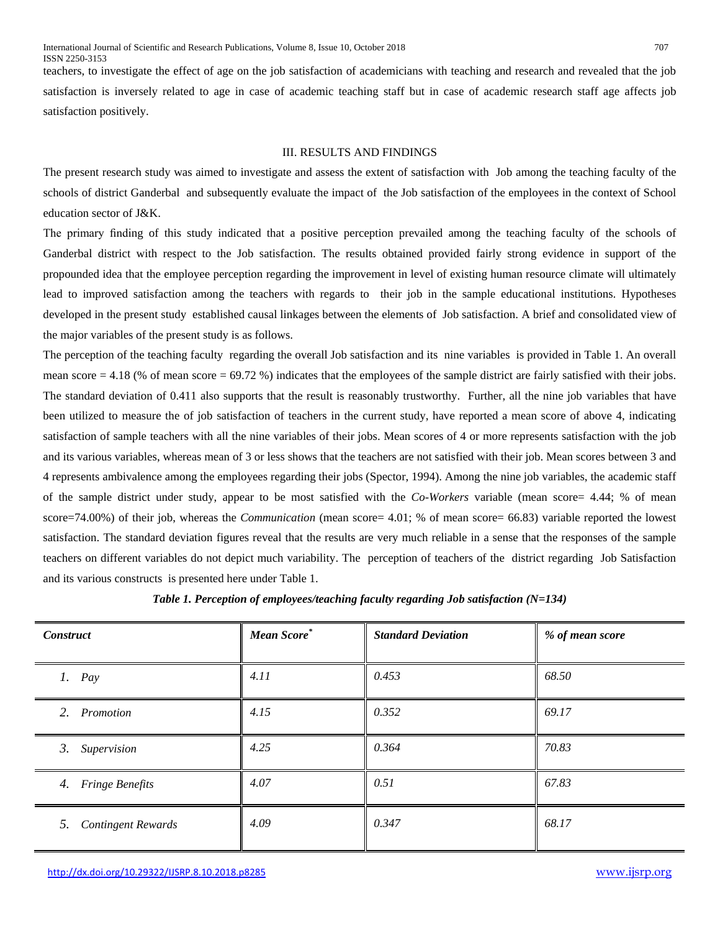teachers, to investigate the effect of age on the job satisfaction of academicians with teaching and research and revealed that the job satisfaction is inversely related to age in case of academic teaching staff but in case of academic research staff age affects job satisfaction positively.

### III. RESULTS AND FINDINGS

The present research study was aimed to investigate and assess the extent of satisfaction with Job among the teaching faculty of the schools of district Ganderbal and subsequently evaluate the impact of the Job satisfaction of the employees in the context of School education sector of J&K.

The primary finding of this study indicated that a positive perception prevailed among the teaching faculty of the schools of Ganderbal district with respect to the Job satisfaction. The results obtained provided fairly strong evidence in support of the propounded idea that the employee perception regarding the improvement in level of existing human resource climate will ultimately lead to improved satisfaction among the teachers with regards to their job in the sample educational institutions. Hypotheses developed in the present study established causal linkages between the elements of Job satisfaction. A brief and consolidated view of the major variables of the present study is as follows.

The perception of the teaching faculty regarding the overall Job satisfaction and its nine variables is provided in Table 1. An overall mean score = 4.18 (% of mean score = 69.72 %) indicates that the employees of the sample district are fairly satisfied with their jobs. The standard deviation of 0.411 also supports that the result is reasonably trustworthy. Further, all the nine job variables that have been utilized to measure the of job satisfaction of teachers in the current study, have reported a mean score of above 4, indicating satisfaction of sample teachers with all the nine variables of their jobs. Mean scores of 4 or more represents satisfaction with the job and its various variables, whereas mean of 3 or less shows that the teachers are not satisfied with their job. Mean scores between 3 and 4 represents ambivalence among the employees regarding their jobs (Spector, 1994). Among the nine job variables, the academic staff of the sample district under study, appear to be most satisfied with the *Co-Workers* variable (mean score= 4.44; % of mean score=74.00%) of their job, whereas the *Communication* (mean score= 4.01; % of mean score= 66.83) variable reported the lowest satisfaction. The standard deviation figures reveal that the results are very much reliable in a sense that the responses of the sample teachers on different variables do not depict much variability. The perception of teachers of the district regarding Job Satisfaction and its various constructs is presented here under Table 1.

| <b>Construct</b>             | Mean Score <sup>*</sup> | <b>Standard Deviation</b> | % of mean score |
|------------------------------|-------------------------|---------------------------|-----------------|
| $1.$ Pay                     | 4.11                    | 0.453                     | 68.50           |
| 2.<br>Promotion              | 4.15                    | 0.352                     | 69.17           |
| 3.<br>Supervision            | 4.25                    | 0.364                     | 70.83           |
| 4.<br><b>Fringe Benefits</b> | 4.07                    | 0.51                      | 67.83           |
| 5. Contingent Rewards        | 4.09                    | 0.347                     | 68.17           |

*Table 1. Perception of employees/teaching faculty regarding Job satisfaction (N=134)*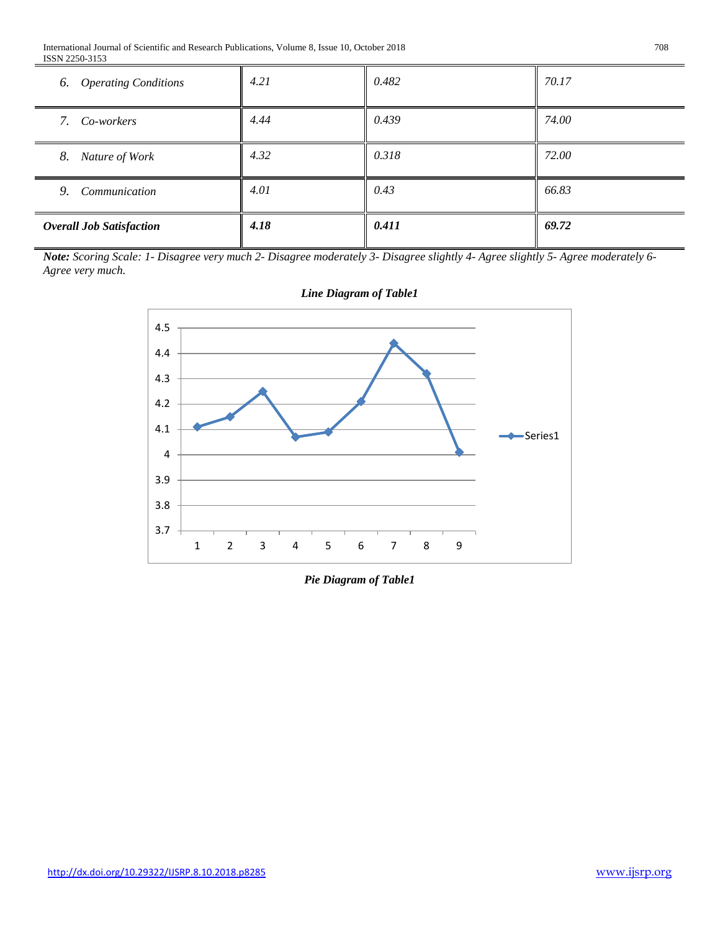| <b>Overall Job Satisfaction</b> | 4.18 | 0.411 | 69.72 |
|---------------------------------|------|-------|-------|
| Communication<br>9.             | 4.01 | 0.43  | 66.83 |
| 8. Nature of Work               | 4.32 | 0.318 | 72.00 |
| 7. Co-workers                   | 4.44 | 0.439 | 74.00 |
| 6. Operating Conditions         | 4.21 | 0.482 | 70.17 |

*Note: Scoring Scale: 1- Disagree very much 2- Disagree moderately 3- Disagree slightly 4- Agree slightly 5- Agree moderately 6- Agree very much.*



# *Line Diagram of Table1*

*Pie Diagram of Table1*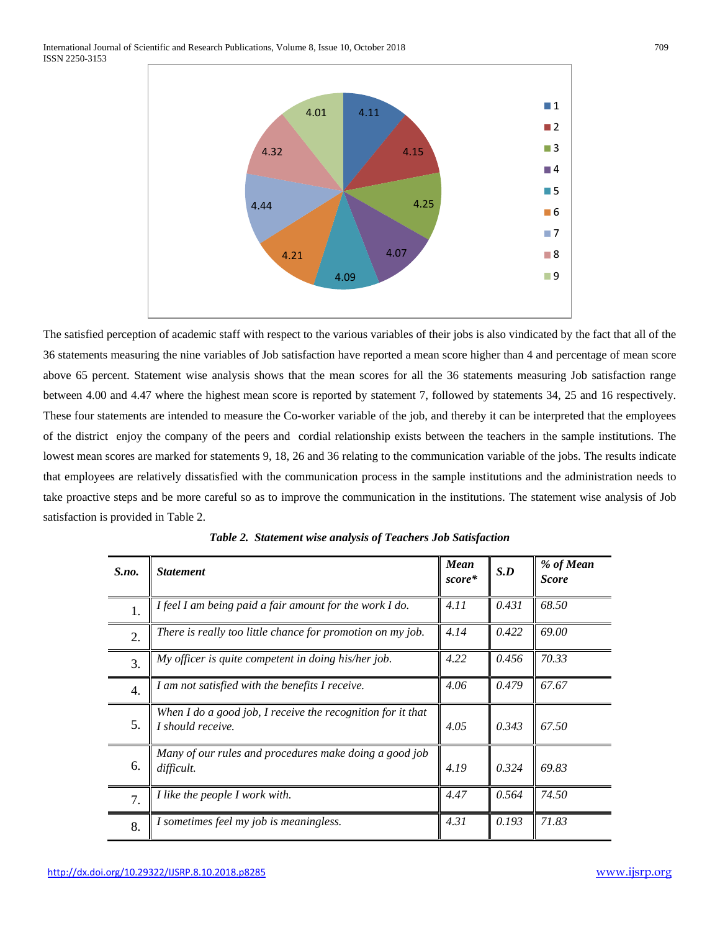

The satisfied perception of academic staff with respect to the various variables of their jobs is also vindicated by the fact that all of the 36 statements measuring the nine variables of Job satisfaction have reported a mean score higher than 4 and percentage of mean score above 65 percent. Statement wise analysis shows that the mean scores for all the 36 statements measuring Job satisfaction range between 4.00 and 4.47 where the highest mean score is reported by statement 7, followed by statements 34, 25 and 16 respectively. These four statements are intended to measure the Co-worker variable of the job, and thereby it can be interpreted that the employees of the district enjoy the company of the peers and cordial relationship exists between the teachers in the sample institutions. The lowest mean scores are marked for statements 9, 18, 26 and 36 relating to the communication variable of the jobs. The results indicate that employees are relatively dissatisfied with the communication process in the sample institutions and the administration needs to take proactive steps and be more careful so as to improve the communication in the institutions. The statement wise analysis of Job satisfaction is provided in Table 2.

| $S$ .no.         | <b>Statement</b>                                                                 | <b>Mean</b><br>score* | S.D   | % of Mean<br><b>Score</b> |
|------------------|----------------------------------------------------------------------------------|-----------------------|-------|---------------------------|
| 1.               | I feel I am being paid a fair amount for the work $I$ do.                        | 4.11                  | 0.431 | 68.50                     |
| $\overline{2}$ . | There is really too little chance for promotion on my job.                       | 4.14                  | 0.422 | 69.00                     |
| $\overline{3}$ . | My officer is quite competent in doing his/her job.                              | 4.22                  | 0.456 | 70.33                     |
| $\overline{4}$ . | I am not satisfied with the benefits I receive.                                  | 4.06                  | 0.479 | 67.67                     |
| 5.               | When I do a good job, I receive the recognition for it that<br>I should receive. | 4.05                  | 0.343 | 67.50                     |
| 6.               | Many of our rules and procedures make doing a good job<br>difficult.             | 4.19                  | 0.324 | 69.83                     |
| $\overline{7}$ . | I like the people I work with.                                                   | 4.47                  | 0.564 | 74.50                     |
| 8.               | I sometimes feel my job is meaningless.                                          | 4.31                  | 0.193 | 71.83                     |

*Table 2. Statement wise analysis of Teachers Job Satisfaction*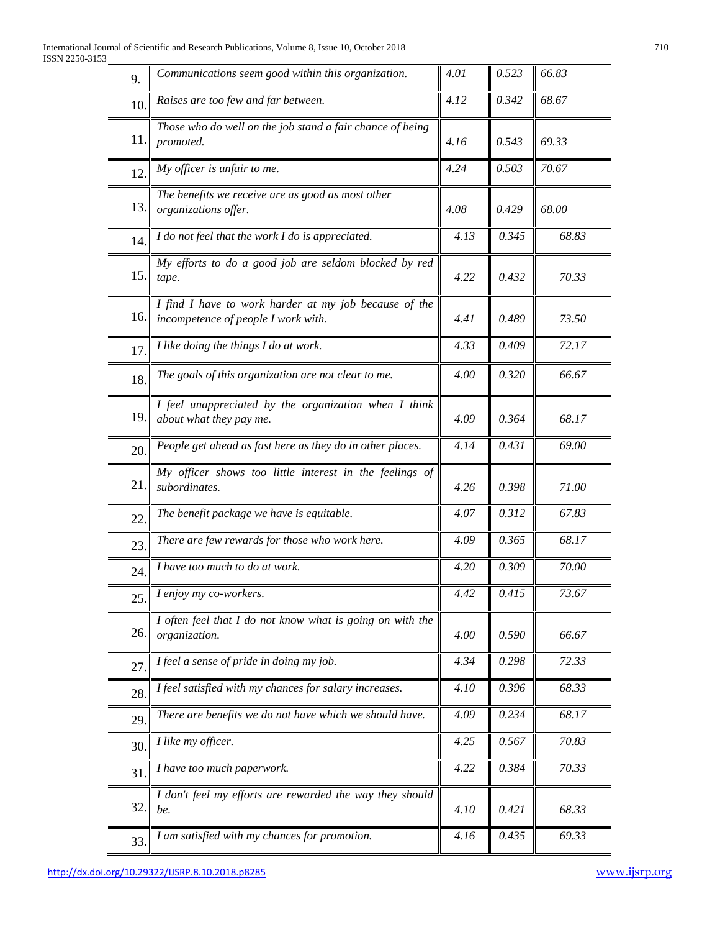| 9.  | Communications seem good within this organization.                                           | 4.01 | 0.523 | 66.83 |
|-----|----------------------------------------------------------------------------------------------|------|-------|-------|
| 10. | Raises are too few and far between.                                                          | 4.12 | 0.342 | 68.67 |
| 11. | Those who do well on the job stand a fair chance of being<br>promoted.                       | 4.16 | 0.543 | 69.33 |
| 12. | My officer is unfair to me.                                                                  | 4.24 | 0.503 | 70.67 |
| 13. | The benefits we receive are as good as most other<br>organizations offer.                    | 4.08 | 0.429 | 68.00 |
| 14. | I do not feel that the work I do is appreciated.                                             | 4.13 | 0.345 | 68.83 |
| 15. | My efforts to do a good job are seldom blocked by red<br>tape.                               | 4.22 | 0.432 | 70.33 |
| 16. | I find I have to work harder at my job because of the<br>incompetence of people I work with. | 4.41 | 0.489 | 73.50 |
| 17. | I like doing the things I do at work.                                                        | 4.33 | 0.409 | 72.17 |
| 18. | The goals of this organization are not clear to me.                                          | 4.00 | 0.320 | 66.67 |
| 19. | I feel unappreciated by the organization when I think<br>about what they pay me.             | 4.09 | 0.364 | 68.17 |
| 20. | People get ahead as fast here as they do in other places.                                    | 4.14 | 0.431 | 69.00 |
| 21. | My officer shows too little interest in the feelings of<br>subordinates.                     | 4.26 | 0.398 | 71.00 |
| 22. | The benefit package we have is equitable.                                                    | 4.07 | 0.312 | 67.83 |
| 23. | There are few rewards for those who work here.                                               | 4.09 | 0.365 | 68.17 |
| 24. | I have too much to do at work.                                                               | 4.20 | 0.309 | 70.00 |
| 25. | I enjoy my co-workers.                                                                       | 4.42 | 0.415 | 73.67 |
| 26. | I often feel that I do not know what is going on with the<br>organization.                   | 4.00 | 0.590 | 66.67 |
| 27. | I feel a sense of pride in doing my job.                                                     | 4.34 | 0.298 | 72.33 |
| 28. | I feel satisfied with my chances for salary increases.                                       | 4.10 | 0.396 | 68.33 |
| 29. | There are benefits we do not have which we should have.                                      | 4.09 | 0.234 | 68.17 |
| 30. | I like my officer.                                                                           | 4.25 | 0.567 | 70.83 |
| 31. | I have too much paperwork.                                                                   | 4.22 | 0.384 | 70.33 |
| 32. | I don't feel my efforts are rewarded the way they should<br>be.                              | 4.10 | 0.421 | 68.33 |
| 33. | I am satisfied with my chances for promotion.                                                | 4.16 | 0.435 | 69.33 |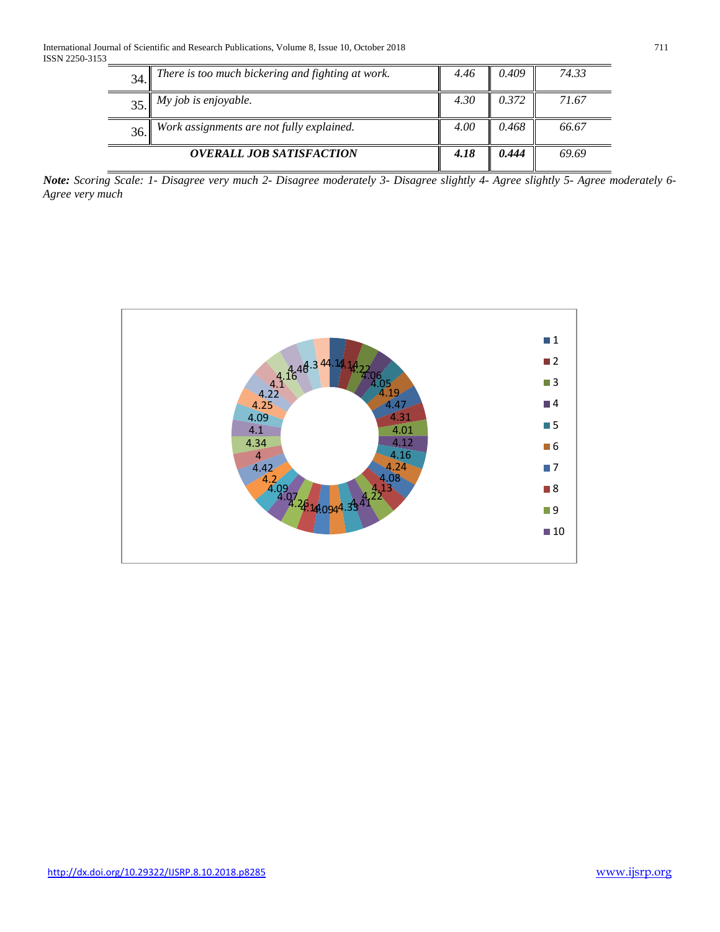| 34. | There is too much bickering and fighting at work. | 4.46 | 0.409 | 74.33 |
|-----|---------------------------------------------------|------|-------|-------|
|     | $35.$ <i>My job is enjoyable.</i>                 | 4.30 | 0.372 | 71.67 |
| 36. | Work assignments are not fully explained.         | 4.00 | 0.468 | 66.67 |
|     | <b>OVERALL JOB SATISFACTION</b>                   | 4.18 | 0.444 | 69.69 |

*Note: Scoring Scale: 1- Disagree very much 2- Disagree moderately 3- Disagree slightly 4- Agree slightly 5- Agree moderately 6- Agree very much*

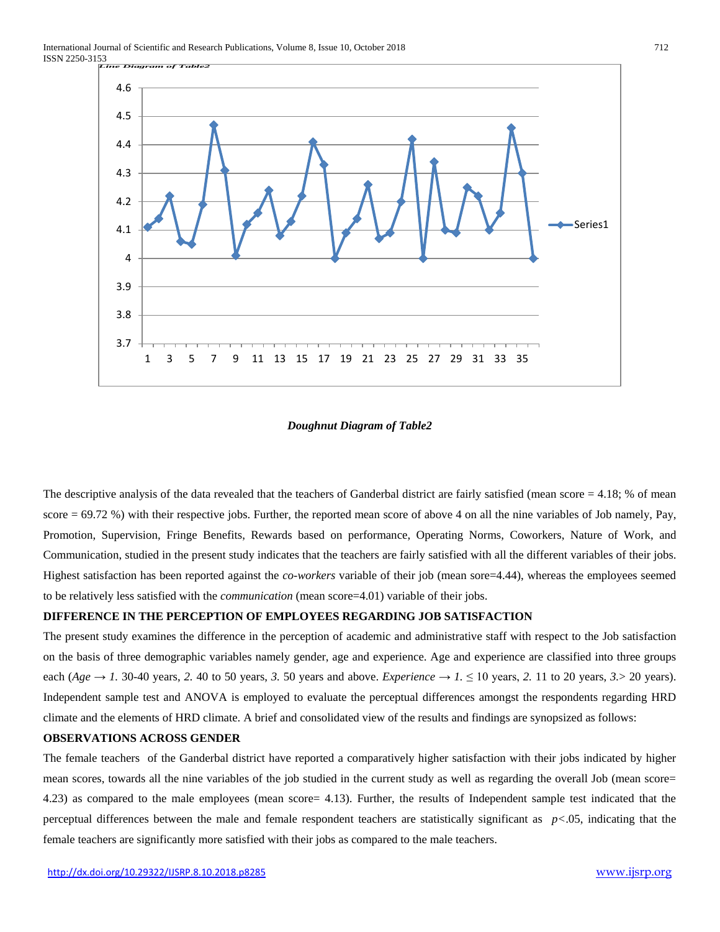

# *Doughnut Diagram of Table2*

The descriptive analysis of the data revealed that the teachers of Ganderbal district are fairly satisfied (mean score  $= 4.18$ ; % of mean score  $= 69.72$  %) with their respective jobs. Further, the reported mean score of above 4 on all the nine variables of Job namely, Pay, Promotion, Supervision, Fringe Benefits, Rewards based on performance, Operating Norms, Coworkers, Nature of Work, and Communication, studied in the present study indicates that the teachers are fairly satisfied with all the different variables of their jobs. Highest satisfaction has been reported against the *co-workers* variable of their job (mean sore=4.44), whereas the employees seemed to be relatively less satisfied with the *communication* (mean score=4.01) variable of their jobs.

## **DIFFERENCE IN THE PERCEPTION OF EMPLOYEES REGARDING JOB SATISFACTION**

The present study examines the difference in the perception of academic and administrative staff with respect to the Job satisfaction on the basis of three demographic variables namely gender, age and experience. Age and experience are classified into three groups each (*Age*  $\rightarrow$  *1*. 30-40 years, 2. 40 to 50 years, 3. 50 years and above. *Experience*  $\rightarrow$  *1*.  $\leq$  10 years, 2. 11 to 20 years, 3. > 20 years). Independent sample test and ANOVA is employed to evaluate the perceptual differences amongst the respondents regarding HRD climate and the elements of HRD climate. A brief and consolidated view of the results and findings are synopsized as follows:

# **OBSERVATIONS ACROSS GENDER**

The female teachers of the Ganderbal district have reported a comparatively higher satisfaction with their jobs indicated by higher mean scores, towards all the nine variables of the job studied in the current study as well as regarding the overall Job (mean score= 4.23) as compared to the male employees (mean score= 4.13). Further, the results of Independent sample test indicated that the perceptual differences between the male and female respondent teachers are statistically significant as *p<*.05, indicating that the female teachers are significantly more satisfied with their jobs as compared to the male teachers.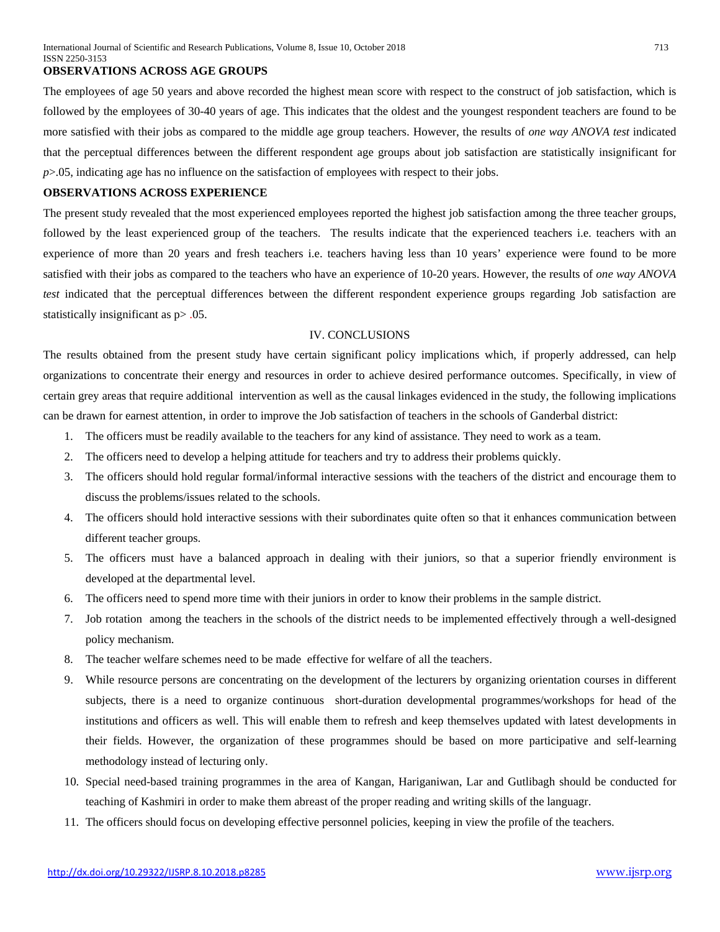#### **OBSERVATIONS ACROSS AGE GROUPS**

The employees of age 50 years and above recorded the highest mean score with respect to the construct of job satisfaction, which is followed by the employees of 30-40 years of age. This indicates that the oldest and the youngest respondent teachers are found to be more satisfied with their jobs as compared to the middle age group teachers. However, the results of *one way ANOVA test* indicated that the perceptual differences between the different respondent age groups about job satisfaction are statistically insignificant for *p*>.05, indicating age has no influence on the satisfaction of employees with respect to their jobs.

# **OBSERVATIONS ACROSS EXPERIENCE**

The present study revealed that the most experienced employees reported the highest job satisfaction among the three teacher groups, followed by the least experienced group of the teachers. The results indicate that the experienced teachers i.e. teachers with an experience of more than 20 years and fresh teachers i.e. teachers having less than 10 years' experience were found to be more satisfied with their jobs as compared to the teachers who have an experience of 10-20 years. However, the results of *one way ANOVA test* indicated that the perceptual differences between the different respondent experience groups regarding Job satisfaction are statistically insignificant as p> .05.

#### IV. CONCLUSIONS

The results obtained from the present study have certain significant policy implications which, if properly addressed, can help organizations to concentrate their energy and resources in order to achieve desired performance outcomes. Specifically, in view of certain grey areas that require additional intervention as well as the causal linkages evidenced in the study, the following implications can be drawn for earnest attention, in order to improve the Job satisfaction of teachers in the schools of Ganderbal district:

- 1. The officers must be readily available to the teachers for any kind of assistance. They need to work as a team.
- 2. The officers need to develop a helping attitude for teachers and try to address their problems quickly.
- 3. The officers should hold regular formal/informal interactive sessions with the teachers of the district and encourage them to discuss the problems/issues related to the schools.
- 4. The officers should hold interactive sessions with their subordinates quite often so that it enhances communication between different teacher groups.
- 5. The officers must have a balanced approach in dealing with their juniors, so that a superior friendly environment is developed at the departmental level.
- 6. The officers need to spend more time with their juniors in order to know their problems in the sample district.
- 7. Job rotation among the teachers in the schools of the district needs to be implemented effectively through a well-designed policy mechanism.
- 8. The teacher welfare schemes need to be made effective for welfare of all the teachers.
- 9. While resource persons are concentrating on the development of the lecturers by organizing orientation courses in different subjects, there is a need to organize continuous short-duration developmental programmes/workshops for head of the institutions and officers as well. This will enable them to refresh and keep themselves updated with latest developments in their fields. However, the organization of these programmes should be based on more participative and self-learning methodology instead of lecturing only.
- 10. Special need-based training programmes in the area of Kangan, Hariganiwan, Lar and Gutlibagh should be conducted for teaching of Kashmiri in order to make them abreast of the proper reading and writing skills of the languagr.
- 11. The officers should focus on developing effective personnel policies, keeping in view the profile of the teachers.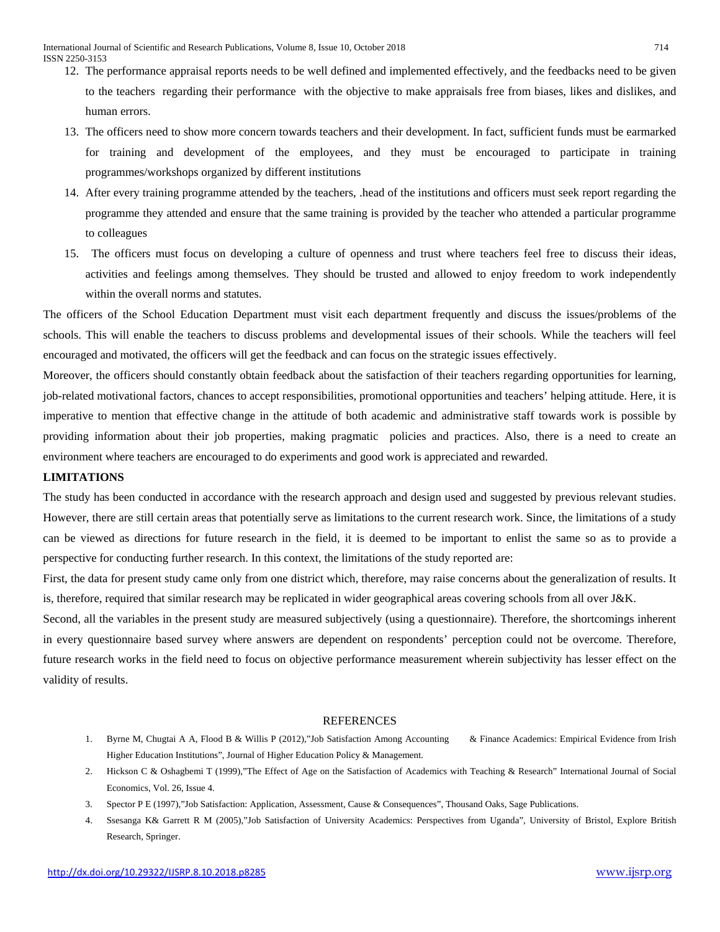- 12. The performance appraisal reports needs to be well defined and implemented effectively, and the feedbacks need to be given to the teachers regarding their performance with the objective to make appraisals free from biases, likes and dislikes, and human errors.
- 13. The officers need to show more concern towards teachers and their development. In fact, sufficient funds must be earmarked for training and development of the employees, and they must be encouraged to participate in training programmes/workshops organized by different institutions
- 14. After every training programme attended by the teachers, .head of the institutions and officers must seek report regarding the programme they attended and ensure that the same training is provided by the teacher who attended a particular programme to colleagues
- 15. The officers must focus on developing a culture of openness and trust where teachers feel free to discuss their ideas, activities and feelings among themselves. They should be trusted and allowed to enjoy freedom to work independently within the overall norms and statutes.

The officers of the School Education Department must visit each department frequently and discuss the issues/problems of the schools. This will enable the teachers to discuss problems and developmental issues of their schools. While the teachers will feel encouraged and motivated, the officers will get the feedback and can focus on the strategic issues effectively.

Moreover, the officers should constantly obtain feedback about the satisfaction of their teachers regarding opportunities for learning, job-related motivational factors, chances to accept responsibilities, promotional opportunities and teachers' helping attitude. Here, it is imperative to mention that effective change in the attitude of both academic and administrative staff towards work is possible by providing information about their job properties, making pragmatic policies and practices. Also, there is a need to create an environment where teachers are encouraged to do experiments and good work is appreciated and rewarded.

## **LIMITATIONS**

The study has been conducted in accordance with the research approach and design used and suggested by previous relevant studies. However, there are still certain areas that potentially serve as limitations to the current research work. Since, the limitations of a study can be viewed as directions for future research in the field, it is deemed to be important to enlist the same so as to provide a perspective for conducting further research. In this context, the limitations of the study reported are:

First, the data for present study came only from one district which, therefore, may raise concerns about the generalization of results. It is, therefore, required that similar research may be replicated in wider geographical areas covering schools from all over J&K.

Second, all the variables in the present study are measured subjectively (using a questionnaire). Therefore, the shortcomings inherent in every questionnaire based survey where answers are dependent on respondents' perception could not be overcome. Therefore, future research works in the field need to focus on objective performance measurement wherein subjectivity has lesser effect on the validity of results.

#### REFERENCES

- 1. Byrne M, Chugtai A A, Flood B & Willis P (2012),"Job Satisfaction Among Accounting & Finance Academics: Empirical Evidence from Irish Higher Education Institutions", Journal of Higher Education Policy & Management.
- 2. Hickson C & Oshagbemi T (1999),"The Effect of Age on the Satisfaction of Academics with Teaching & Research" International Journal of Social Economics, Vol. 26, Issue 4.
- 3. Spector P E (1997),"Job Satisfaction: Application, Assessment, Cause & Consequences", Thousand Oaks, Sage Publications.
- 4. Ssesanga K& Garrett R M (2005),"Job Satisfaction of University Academics: Perspectives from Uganda", University of Bristol, Explore British Research, Springer.